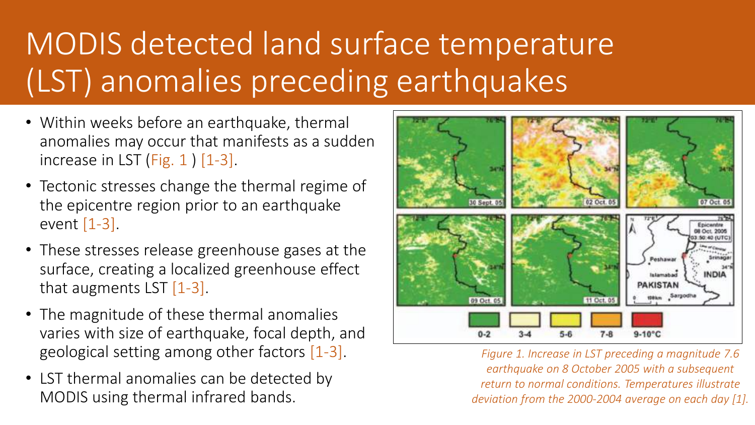# MODIS detected land surface temperature (LST) anomalies preceding earthquakes

- Within weeks before an earthquake, thermal anomalies may occur that manifests as a sudden increase in LST (Fig.  $1$ )  $[1-3]$ .
- Tectonic stresses change the thermal regime of the epicentre region prior to an earthquake event [1-3].
- These stresses release greenhouse gases at the surface, creating a localized greenhouse effect that augments LST [1-3].
- The magnitude of these thermal anomalies varies with size of earthquake, focal depth, and geological setting among other factors [1-3].
- LST thermal anomalies can be detected by MODIS using thermal infrared bands.



*Figure 1. Increase in LST preceding a magnitude 7.6 earthquake on 8 October 2005 with a subsequent return to normal conditions. Temperatures illustrate deviation from the 2000-2004 average on each day [1].*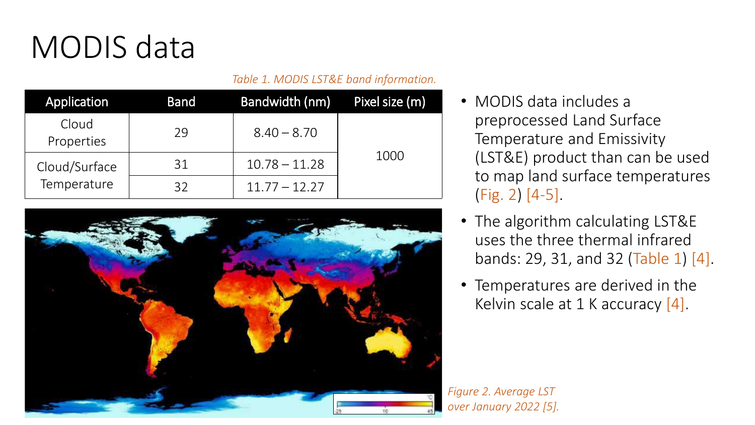## MODIS data

#### *Table 1. MODIS LST&E band information.*

| Application         | <b>Band</b> | <b>Bandwidth (nm)</b> | Pixel size (m) |
|---------------------|-------------|-----------------------|----------------|
| Cloud<br>Properties | 29          | $8.40 - 8.70$         |                |
| Cloud/Surface       | 31          | $10.78 - 11.28$       | 1000           |
| Temperature         | 32          | $11.77 - 12.27$       |                |



- MODIS data includes a preprocessed Land Surface Temperature and Emissivity (LST&E) product than can be used to map land surface temperatures (Fig. 2) [4-5].
- The algorithm calculating LST&E uses the three thermal infrared bands: 29, 31, and 32 (Table 1) [4].
- Temperatures are derived in the Kelvin scale at 1 K accuracy [4].

*Figure 2. Average LST over January 2022 [5].*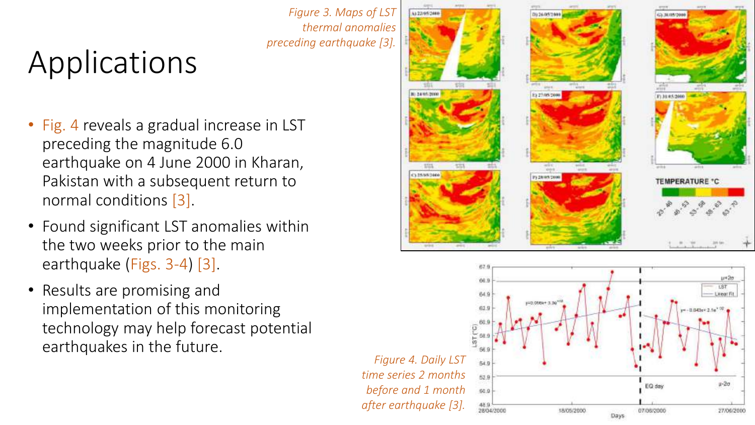# Applications

- Fig. 4 reveals a gradual increase in LST preceding the magnitude 6.0 earthquake on 4 June 2000 in Kharan, Pakistan with a subsequent return to normal conditions [3].
- Found significant LST anomalies within the two weeks prior to the main earthquake (Figs. 3-4) [3].
- Results are promising and implementation of this monitoring technology may help forecast potential earthquakes in the future.

*Figure 3. Maps of LST thermal anomalies preceding earthquake [3].*

*after earthquake [3].*

28/04/2000



18/05/2000

ur42<del>0</del>

 $1 - 2\sigma$ 

27/06/2000

07/08/2000

Days